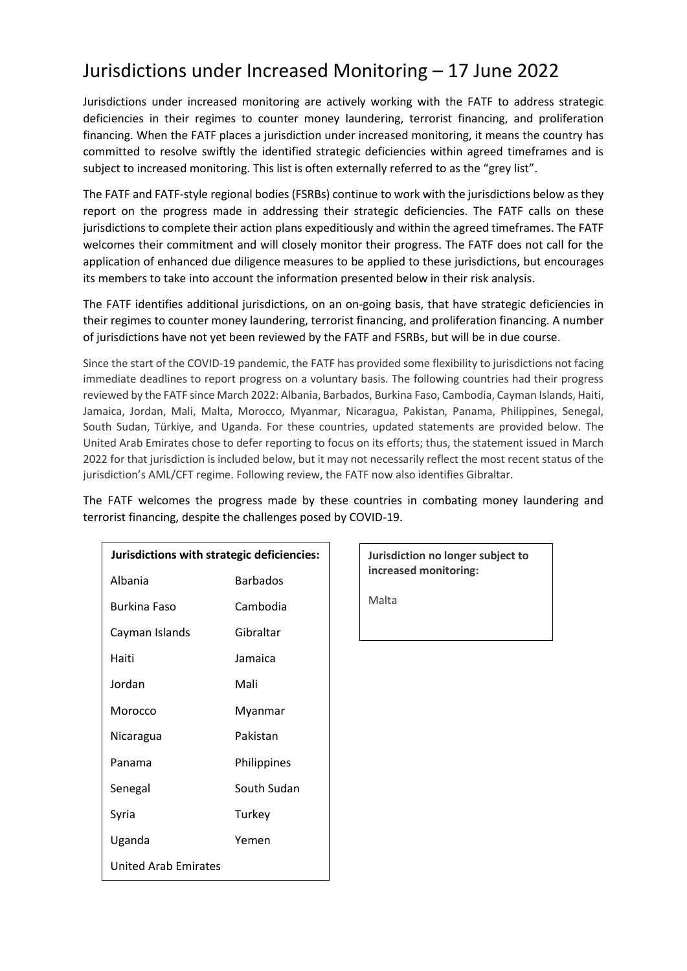## Jurisdictions under Increased Monitoring – 17 June 2022

Jurisdictions under increased monitoring are actively working with the FATF to address strategic deficiencies in their regimes to counter money laundering, terrorist financing, and proliferation financing. When the FATF places a jurisdiction under increased monitoring, it means the country has committed to resolve swiftly the identified strategic deficiencies within agreed timeframes and is subject to increased monitoring. This list is often externally referred to as the "grey list".

The FATF and FATF-style regional bodies (FSRBs) continue to work with the jurisdictions below as they report on the progress made in addressing their strategic deficiencies. The FATF calls on these jurisdictions to complete their action plans expeditiously and within the agreed timeframes. The FATF welcomes their commitment and will closely monitor their progress. The FATF does not call for the application of enhanced due diligence measures to be applied to these jurisdictions, but encourages its members to take into account the information presented below in their risk analysis.

The FATF identifies additional jurisdictions, on an on-going basis, that have strategic deficiencies in their regimes to counter money laundering, terrorist financing, and proliferation financing. A number of jurisdictions have not yet been reviewed by the FATF and FSRBs, but will be in due course.

Since the start of the COVID-19 pandemic, the FATF has provided some flexibility to jurisdictions not facing immediate deadlines to report progress on a voluntary basis. The following countries had their progress reviewed by the FATF since March 2022: Albania, Barbados, Burkina Faso, Cambodia, Cayman Islands, Haiti, Jamaica, Jordan, Mali, Malta, Morocco, Myanmar, Nicaragua, Pakistan, Panama, Philippines, Senegal, South Sudan, Türkiye, and Uganda. For these countries, updated statements are provided below. The United Arab Emirates chose to defer reporting to focus on its efforts; thus, the statement issued in March 2022 for that jurisdiction is included below, but it may not necessarily reflect the most recent status of the jurisdiction's AML/CFT regime. Following review, the FATF now also identifies Gibraltar.

The FATF welcomes the progress made by these countries in combating money laundering and terrorist financing, despite the challenges posed by COVID-19.

| Jurisdictions with strategic deficiencies: |                 |
|--------------------------------------------|-----------------|
| Albania                                    | <b>Barbados</b> |
| Burkina Faso                               | Cambodia        |
| Cayman Islands                             | Gibraltar       |
| Haiti                                      | Jamaica         |
| Jordan                                     | Mali            |
| Morocco                                    | Myanmar         |
| Nicaragua                                  | Pakistan        |
| Panama                                     | Philippines     |
| Senegal                                    | South Sudan     |
| Syria                                      | Turkey          |
| Uganda                                     | Yemen           |
| United Arab Emirates                       |                 |

**Jurisdiction no longer subject to increased monitoring:**

Malta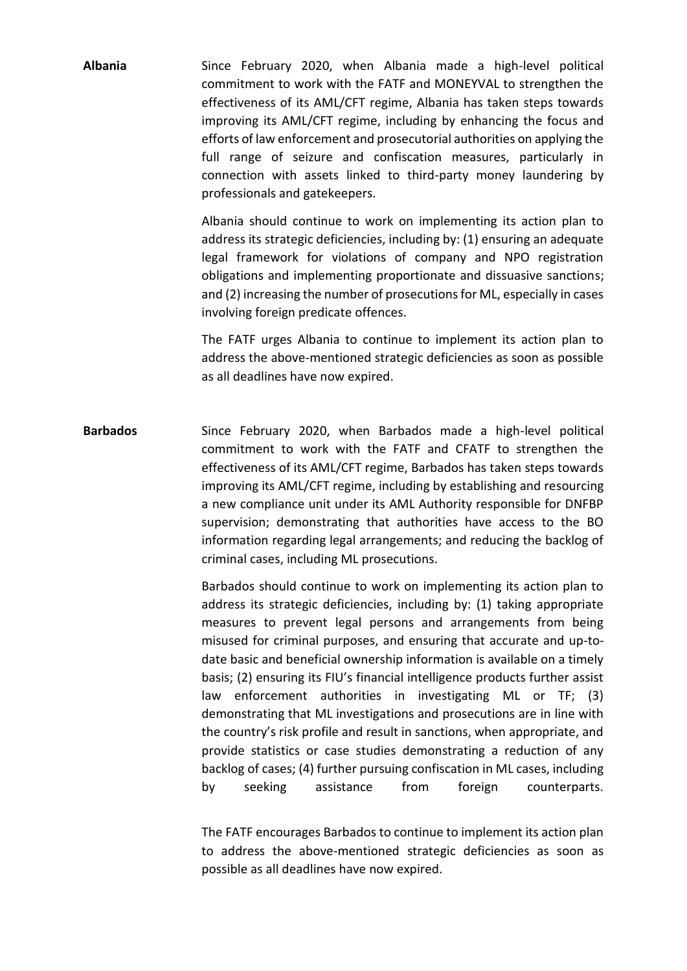**Albania** Since February 2020, when Albania made a high-level political commitment to work with the FATF and MONEYVAL to strengthen the effectiveness of its AML/CFT regime, Albania has taken steps towards improving its AML/CFT regime, including by enhancing the focus and efforts of law enforcement and prosecutorial authorities on applying the full range of seizure and confiscation measures, particularly in connection with assets linked to third-party money laundering by professionals and gatekeepers.

> Albania should continue to work on implementing its action plan to address its strategic deficiencies, including by: (1) ensuring an adequate legal framework for violations of company and NPO registration obligations and implementing proportionate and dissuasive sanctions; and (2) increasing the number of prosecutions for ML, especially in cases involving foreign predicate offences.

> The FATF urges Albania to continue to implement its action plan to address the above-mentioned strategic deficiencies as soon as possible as all deadlines have now expired.

**Barbados** Since February 2020, when Barbados made a high-level political commitment to work with the FATF and CFATF to strengthen the effectiveness of its AML/CFT regime, Barbados has taken steps towards improving its AML/CFT regime, including by establishing and resourcing a new compliance unit under its AML Authority responsible for DNFBP supervision; demonstrating that authorities have access to the BO information regarding legal arrangements; and reducing the backlog of criminal cases, including ML prosecutions.

> Barbados should continue to work on implementing its action plan to address its strategic deficiencies, including by: (1) taking appropriate measures to prevent legal persons and arrangements from being misused for criminal purposes, and ensuring that accurate and up-todate basic and beneficial ownership information is available on a timely basis; (2) ensuring its FIU's financial intelligence products further assist law enforcement authorities in investigating ML or TF; (3) demonstrating that ML investigations and prosecutions are in line with the country's risk profile and result in sanctions, when appropriate, and provide statistics or case studies demonstrating a reduction of any backlog of cases; (4) further pursuing confiscation in ML cases, including by seeking assistance from foreign counterparts.

> The FATF encourages Barbados to continue to implement its action plan to address the above-mentioned strategic deficiencies as soon as possible as all deadlines have now expired.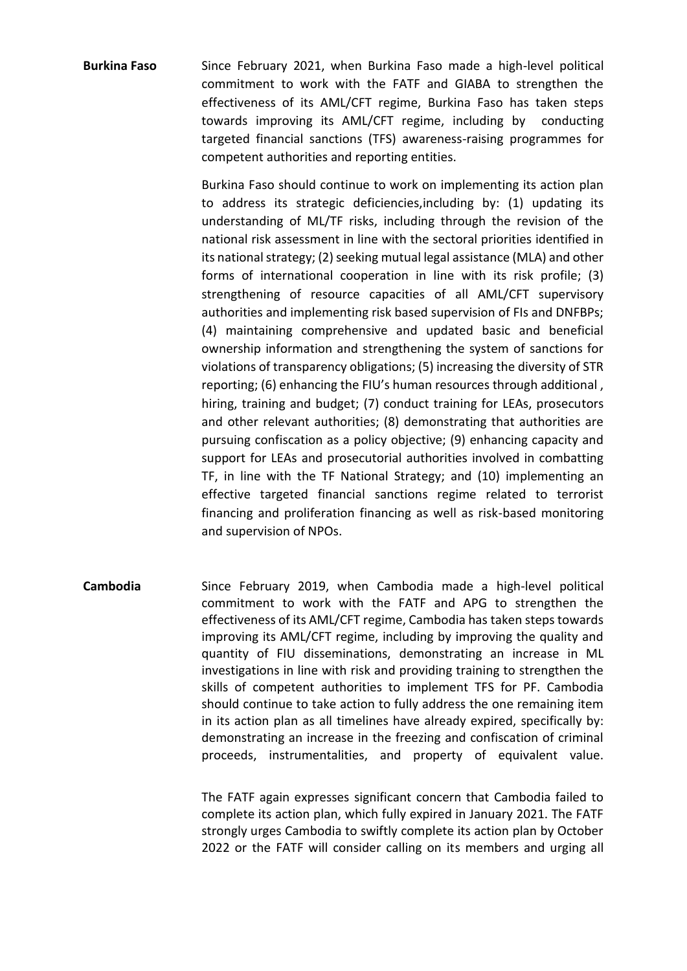**Burkina Faso** Since February 2021, when Burkina Faso made a high-level political commitment to work with the FATF and GIABA to strengthen the effectiveness of its AML/CFT regime, Burkina Faso has taken steps towards improving its AML/CFT regime, including by conducting targeted financial sanctions (TFS) awareness-raising programmes for competent authorities and reporting entities.

> Burkina Faso should continue to work on implementing its action plan to address its strategic deficiencies,including by: (1) updating its understanding of ML/TF risks, including through the revision of the national risk assessment in line with the sectoral priorities identified in its national strategy; (2) seeking mutual legal assistance (MLA) and other forms of international cooperation in line with its risk profile; (3) strengthening of resource capacities of all AML/CFT supervisory authorities and implementing risk based supervision of FIs and DNFBPs; (4) maintaining comprehensive and updated basic and beneficial ownership information and strengthening the system of sanctions for violations of transparency obligations; (5) increasing the diversity of STR reporting; (6) enhancing the FIU's human resources through additional , hiring, training and budget; (7) conduct training for LEAs, prosecutors and other relevant authorities; (8) demonstrating that authorities are pursuing confiscation as a policy objective; (9) enhancing capacity and support for LEAs and prosecutorial authorities involved in combatting TF, in line with the TF National Strategy; and (10) implementing an effective targeted financial sanctions regime related to terrorist financing and proliferation financing as well as risk-based monitoring and supervision of NPOs.

**Cambodia** Since February 2019, when Cambodia made a high-level political commitment to work with the FATF and APG to strengthen the effectiveness of its AML/CFT regime, Cambodia has taken steps towards improving its AML/CFT regime, including by improving the quality and quantity of FIU disseminations, demonstrating an increase in ML investigations in line with risk and providing training to strengthen the skills of competent authorities to implement TFS for PF. Cambodia should continue to take action to fully address the one remaining item in its action plan as all timelines have already expired, specifically by: demonstrating an increase in the freezing and confiscation of criminal proceeds, instrumentalities, and property of equivalent value.

> The FATF again expresses significant concern that Cambodia failed to complete its action plan, which fully expired in January 2021. The FATF strongly urges Cambodia to swiftly complete its action plan by October 2022 or the FATF will consider calling on its members and urging all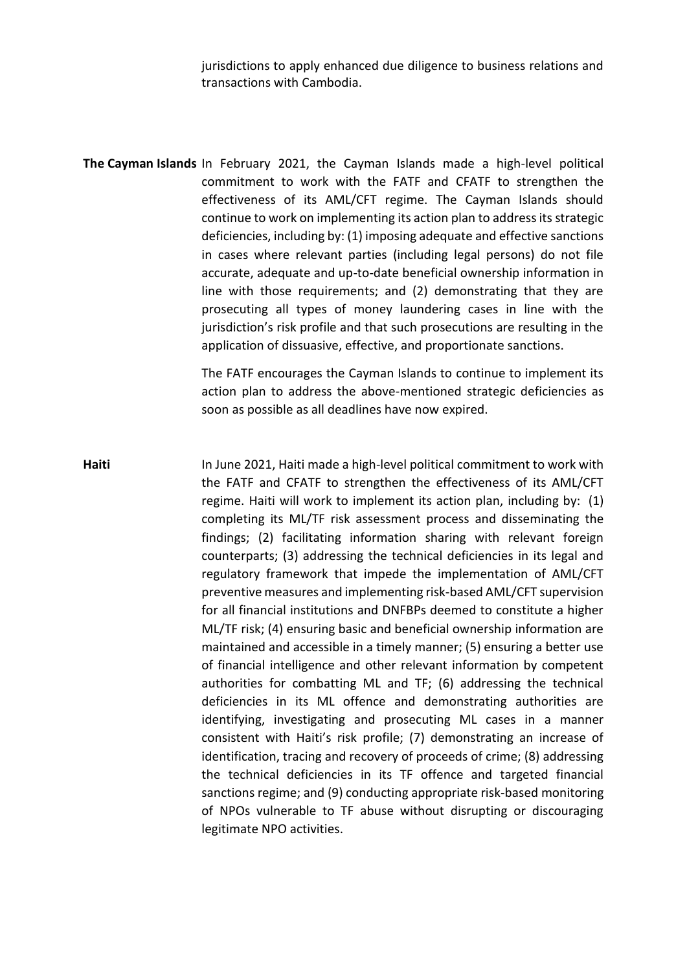jurisdictions to apply enhanced due diligence to business relations and transactions with Cambodia.

**The Cayman Islands** In February 2021, the Cayman Islands made a high-level political commitment to work with the FATF and CFATF to strengthen the effectiveness of its AML/CFT regime. The Cayman Islands should continue to work on implementing its action plan to address its strategic deficiencies, including by: (1) imposing adequate and effective sanctions in cases where relevant parties (including legal persons) do not file accurate, adequate and up-to-date beneficial ownership information in line with those requirements; and (2) demonstrating that they are prosecuting all types of money laundering cases in line with the jurisdiction's risk profile and that such prosecutions are resulting in the application of dissuasive, effective, and proportionate sanctions.

> The FATF encourages the Cayman Islands to continue to implement its action plan to address the above-mentioned strategic deficiencies as soon as possible as all deadlines have now expired.

**Haiti** In June 2021, Haiti made a high-level political commitment to work with the FATF and CFATF to strengthen the effectiveness of its AML/CFT regime. Haiti will work to implement its action plan, including by: (1) completing its ML/TF risk assessment process and disseminating the findings; (2) facilitating information sharing with relevant foreign counterparts; (3) addressing the technical deficiencies in its legal and regulatory framework that impede the implementation of AML/CFT preventive measures and implementing risk-based AML/CFT supervision for all financial institutions and DNFBPs deemed to constitute a higher ML/TF risk; (4) ensuring basic and beneficial ownership information are maintained and accessible in a timely manner; (5) ensuring a better use of financial intelligence and other relevant information by competent authorities for combatting ML and TF; (6) addressing the technical deficiencies in its ML offence and demonstrating authorities are identifying, investigating and prosecuting ML cases in a manner consistent with Haiti's risk profile; (7) demonstrating an increase of identification, tracing and recovery of proceeds of crime; (8) addressing the technical deficiencies in its TF offence and targeted financial sanctions regime; and (9) conducting appropriate risk-based monitoring of NPOs vulnerable to TF abuse without disrupting or discouraging legitimate NPO activities.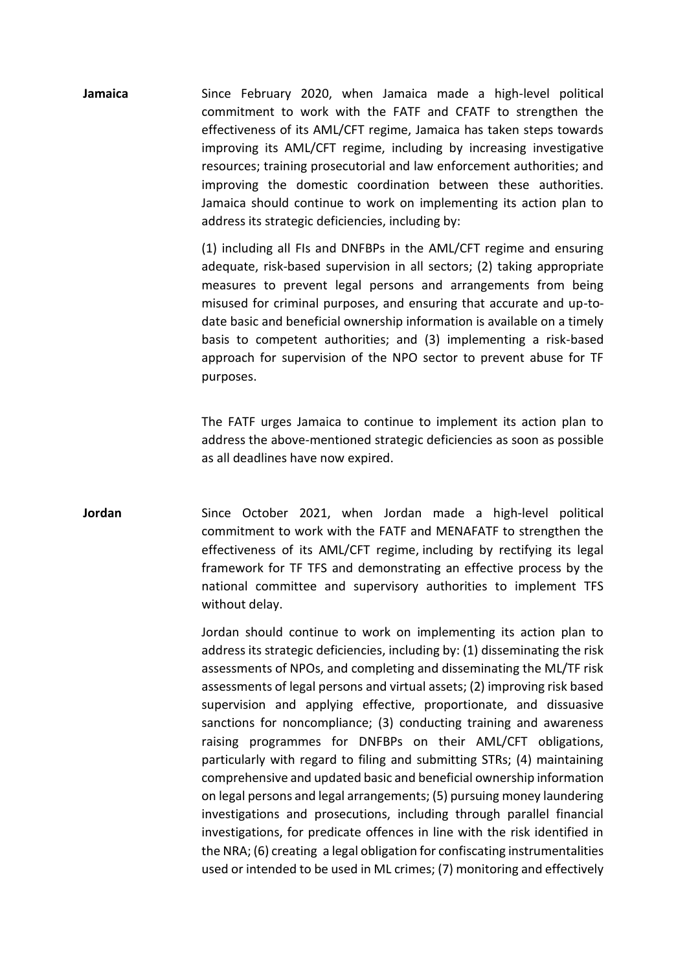**Jamaica** Since February 2020, when Jamaica made a high-level political commitment to work with the FATF and CFATF to strengthen the effectiveness of its AML/CFT regime, Jamaica has taken steps towards improving its AML/CFT regime, including by increasing investigative resources; training prosecutorial and law enforcement authorities; and improving the domestic coordination between these authorities. Jamaica should continue to work on implementing its action plan to address its strategic deficiencies, including by:

> (1) including all FIs and DNFBPs in the AML/CFT regime and ensuring adequate, risk-based supervision in all sectors; (2) taking appropriate measures to prevent legal persons and arrangements from being misused for criminal purposes, and ensuring that accurate and up-todate basic and beneficial ownership information is available on a timely basis to competent authorities; and (3) implementing a risk-based approach for supervision of the NPO sector to prevent abuse for TF purposes.

> The FATF urges Jamaica to continue to implement its action plan to address the above-mentioned strategic deficiencies as soon as possible as all deadlines have now expired.

**Jordan** Since October 2021, when Jordan made a high-level political commitment to work with the FATF and MENAFATF to strengthen the effectiveness of its AML/CFT regime, including by rectifying its legal framework for TF TFS and demonstrating an effective process by the national committee and supervisory authorities to implement TFS without delay.

> Jordan should continue to work on implementing its action plan to address its strategic deficiencies, including by: (1) disseminating the risk assessments of NPOs, and completing and disseminating the ML/TF risk assessments of legal persons and virtual assets; (2) improving risk based supervision and applying effective, proportionate, and dissuasive sanctions for noncompliance; (3) conducting training and awareness raising programmes for DNFBPs on their AML/CFT obligations, particularly with regard to filing and submitting STRs; (4) maintaining comprehensive and updated basic and beneficial ownership information on legal persons and legal arrangements; (5) pursuing money laundering investigations and prosecutions, including through parallel financial investigations, for predicate offences in line with the risk identified in the NRA; (6) creating a legal obligation for confiscating instrumentalities used or intended to be used in ML crimes; (7) monitoring and effectively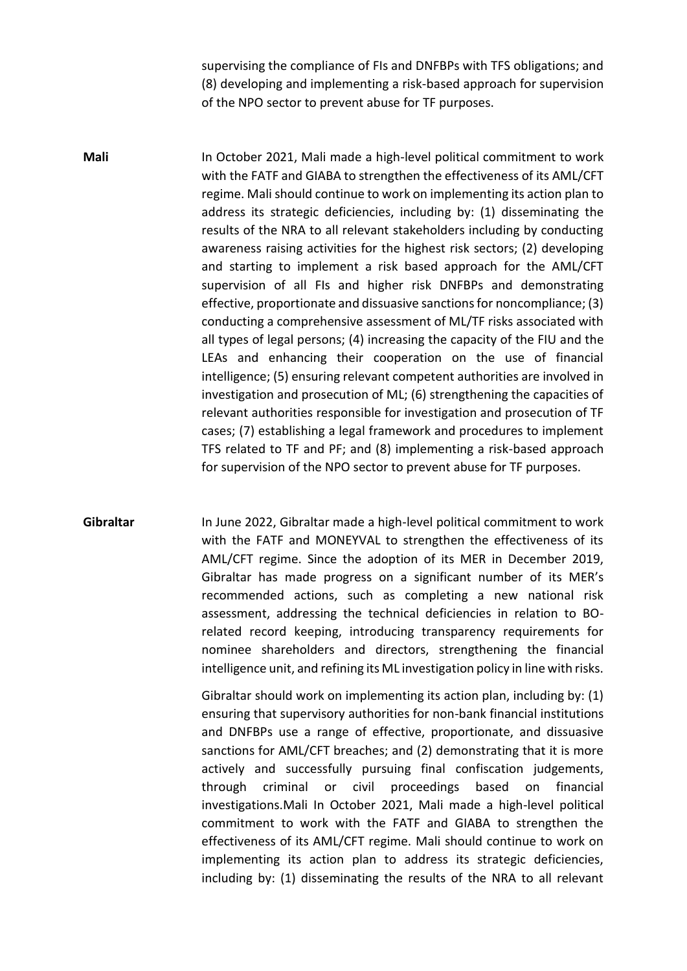supervising the compliance of FIs and DNFBPs with TFS obligations; and (8) developing and implementing a risk-based approach for supervision of the NPO sector to prevent abuse for TF purposes.

**Mali** In October 2021, Mali made a high-level political commitment to work with the FATF and GIABA to strengthen the effectiveness of its AML/CFT regime. Mali should continue to work on implementing its action plan to address its strategic deficiencies, including by: (1) disseminating the results of the NRA to all relevant stakeholders including by conducting awareness raising activities for the highest risk sectors; (2) developing and starting to implement a risk based approach for the AML/CFT supervision of all FIs and higher risk DNFBPs and demonstrating effective, proportionate and dissuasive sanctions for noncompliance; (3) conducting a comprehensive assessment of ML/TF risks associated with all types of legal persons; (4) increasing the capacity of the FIU and the LEAs and enhancing their cooperation on the use of financial intelligence; (5) ensuring relevant competent authorities are involved in investigation and prosecution of ML; (6) strengthening the capacities of relevant authorities responsible for investigation and prosecution of TF cases; (7) establishing a legal framework and procedures to implement TFS related to TF and PF; and (8) implementing a risk-based approach for supervision of the NPO sector to prevent abuse for TF purposes.

**Gibraltar** In June 2022, Gibraltar made a high-level political commitment to work with the FATF and MONEYVAL to strengthen the effectiveness of its AML/CFT regime. Since the adoption of its MER in December 2019, Gibraltar has made progress on a significant number of its MER's recommended actions, such as completing a new national risk assessment, addressing the technical deficiencies in relation to BOrelated record keeping, introducing transparency requirements for nominee shareholders and directors, strengthening the financial intelligence unit, and refining its ML investigation policy in line with risks.

> Gibraltar should work on implementing its action plan, including by: (1) ensuring that supervisory authorities for non-bank financial institutions and DNFBPs use a range of effective, proportionate, and dissuasive sanctions for AML/CFT breaches; and (2) demonstrating that it is more actively and successfully pursuing final confiscation judgements, through criminal or civil proceedings based on financial investigations.Mali In October 2021, Mali made a high-level political commitment to work with the FATF and GIABA to strengthen the effectiveness of its AML/CFT regime. Mali should continue to work on implementing its action plan to address its strategic deficiencies, including by: (1) disseminating the results of the NRA to all relevant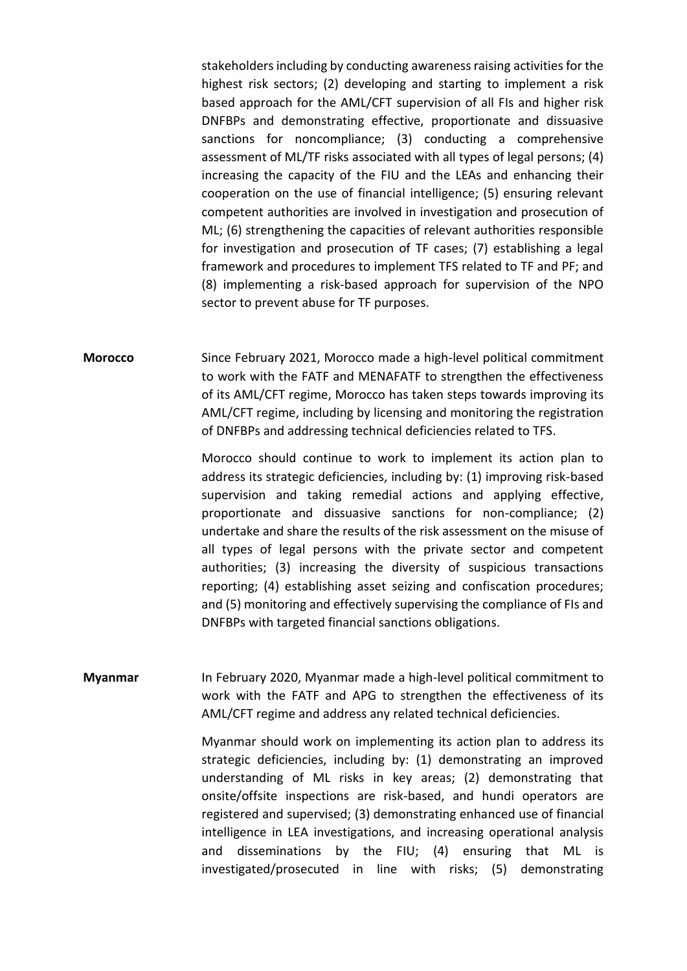stakeholders including by conducting awareness raising activities for the highest risk sectors; (2) developing and starting to implement a risk based approach for the AML/CFT supervision of all FIs and higher risk DNFBPs and demonstrating effective, proportionate and dissuasive sanctions for noncompliance; (3) conducting a comprehensive assessment of ML/TF risks associated with all types of legal persons; (4) increasing the capacity of the FIU and the LEAs and enhancing their cooperation on the use of financial intelligence; (5) ensuring relevant competent authorities are involved in investigation and prosecution of ML; (6) strengthening the capacities of relevant authorities responsible for investigation and prosecution of TF cases; (7) establishing a legal framework and procedures to implement TFS related to TF and PF; and (8) implementing a risk-based approach for supervision of the NPO sector to prevent abuse for TF purposes.

**Morocco** Since February 2021, Morocco made a high-level political commitment to work with the FATF and MENAFATF to strengthen the effectiveness of its AML/CFT regime, Morocco has taken steps towards improving its AML/CFT regime, including by licensing and monitoring the registration of DNFBPs and addressing technical deficiencies related to TFS.

> Morocco should continue to work to implement its action plan to address its strategic deficiencies, including by: (1) improving risk-based supervision and taking remedial actions and applying effective, proportionate and dissuasive sanctions for non-compliance; (2) undertake and share the results of the risk assessment on the misuse of all types of legal persons with the private sector and competent authorities; (3) increasing the diversity of suspicious transactions reporting; (4) establishing asset seizing and confiscation procedures; and (5) monitoring and effectively supervising the compliance of FIs and DNFBPs with targeted financial sanctions obligations.

**Myanmar** In February 2020, Myanmar made a high-level political commitment to work with the FATF and APG to strengthen the effectiveness of its AML/CFT regime and address any related technical deficiencies.

> Myanmar should work on implementing its action plan to address its strategic deficiencies, including by: (1) demonstrating an improved understanding of ML risks in key areas; (2) demonstrating that onsite/offsite inspections are risk-based, and hundi operators are registered and supervised; (3) demonstrating enhanced use of financial intelligence in LEA investigations, and increasing operational analysis and disseminations by the FIU; (4) ensuring that ML is investigated/prosecuted in line with risks; (5) demonstrating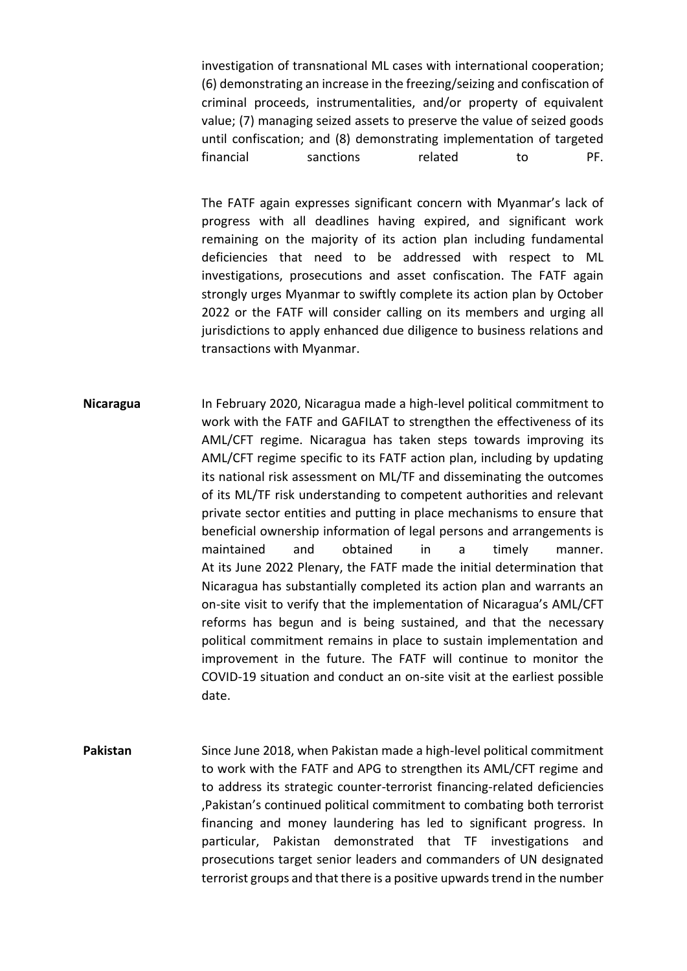investigation of transnational ML cases with international cooperation; (6) demonstrating an increase in the freezing/seizing and confiscation of criminal proceeds, instrumentalities, and/or property of equivalent value; (7) managing seized assets to preserve the value of seized goods until confiscation; and (8) demonstrating implementation of targeted financial sanctions related to PF.

The FATF again expresses significant concern with Myanmar's lack of progress with all deadlines having expired, and significant work remaining on the majority of its action plan including fundamental deficiencies that need to be addressed with respect to ML investigations, prosecutions and asset confiscation. The FATF again strongly urges Myanmar to swiftly complete its action plan by October 2022 or the FATF will consider calling on its members and urging all jurisdictions to apply enhanced due diligence to business relations and transactions with Myanmar.

- **Nicaragua** In February 2020, Nicaragua made a high-level political commitment to work with the FATF and GAFILAT to strengthen the effectiveness of its AML/CFT regime. Nicaragua has taken steps towards improving its AML/CFT regime specific to its FATF action plan, including by updating its national risk assessment on ML/TF and disseminating the outcomes of its ML/TF risk understanding to competent authorities and relevant private sector entities and putting in place mechanisms to ensure that beneficial ownership information of legal persons and arrangements is maintained and obtained in a timely manner. At its June 2022 Plenary, the FATF made the initial determination that Nicaragua has substantially completed its action plan and warrants an on-site visit to verify that the implementation of Nicaragua's AML/CFT reforms has begun and is being sustained, and that the necessary political commitment remains in place to sustain implementation and improvement in the future. The FATF will continue to monitor the COVID-19 situation and conduct an on-site visit at the earliest possible date.
- **Pakistan** Since June 2018, when Pakistan made a high-level political commitment to work with the FATF and APG to strengthen its AML/CFT regime and to address its strategic counter-terrorist financing-related deficiencies ,Pakistan's continued political commitment to combating both terrorist financing and money laundering has led to significant progress. In particular, Pakistan demonstrated that TF investigations and prosecutions target senior leaders and commanders of UN designated terrorist groups and that there is a positive upwards trend in the number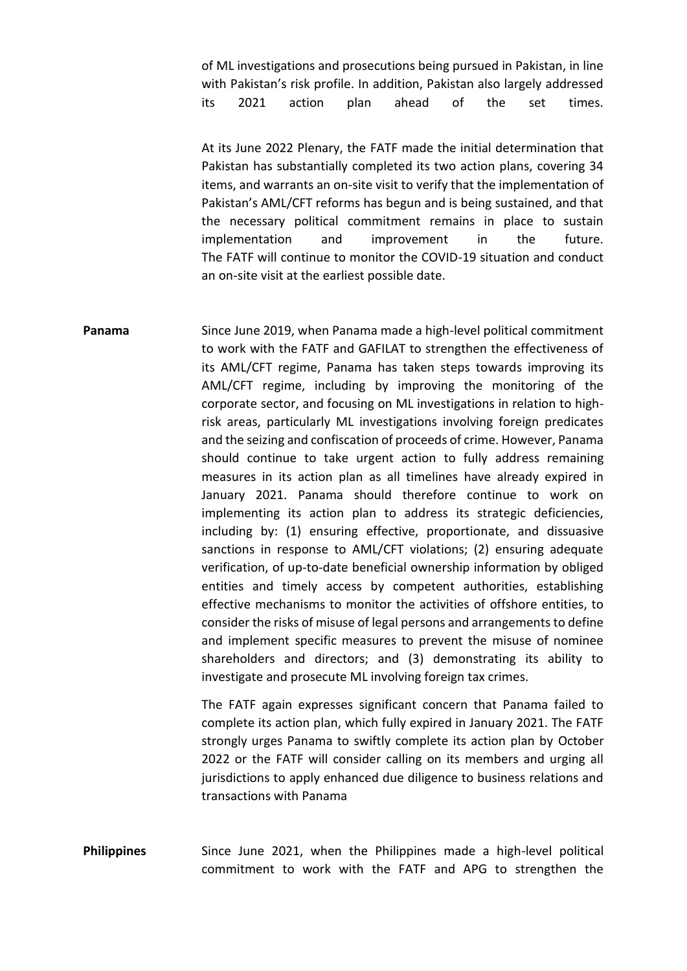of ML investigations and prosecutions being pursued in Pakistan, in line with Pakistan's risk profile. In addition, Pakistan also largely addressed its 2021 action plan ahead of the set times.

At its June 2022 Plenary, the FATF made the initial determination that Pakistan has substantially completed its two action plans, covering 34 items, and warrants an on-site visit to verify that the implementation of Pakistan's AML/CFT reforms has begun and is being sustained, and that the necessary political commitment remains in place to sustain implementation and improvement in the future. The FATF will continue to monitor the COVID-19 situation and conduct an on-site visit at the earliest possible date.

**Panama** Since June 2019, when Panama made a high-level political commitment to work with the FATF and GAFILAT to strengthen the effectiveness of its AML/CFT regime, Panama has taken steps towards improving its AML/CFT regime, including by improving the monitoring of the corporate sector, and focusing on ML investigations in relation to highrisk areas, particularly ML investigations involving foreign predicates and the seizing and confiscation of proceeds of crime. However, Panama should continue to take urgent action to fully address remaining measures in its action plan as all timelines have already expired in January 2021. Panama should therefore continue to work on implementing its action plan to address its strategic deficiencies, including by: (1) ensuring effective, proportionate, and dissuasive sanctions in response to AML/CFT violations; (2) ensuring adequate verification, of up-to-date beneficial ownership information by obliged entities and timely access by competent authorities, establishing effective mechanisms to monitor the activities of offshore entities, to consider the risks of misuse of legal persons and arrangements to define and implement specific measures to prevent the misuse of nominee shareholders and directors; and (3) demonstrating its ability to investigate and prosecute ML involving foreign tax crimes.

> The FATF again expresses significant concern that Panama failed to complete its action plan, which fully expired in January 2021. The FATF strongly urges Panama to swiftly complete its action plan by October 2022 or the FATF will consider calling on its members and urging all jurisdictions to apply enhanced due diligence to business relations and transactions with Panama

**Philippines** Since June 2021, when the Philippines made a high-level political commitment to work with the FATF and APG to strengthen the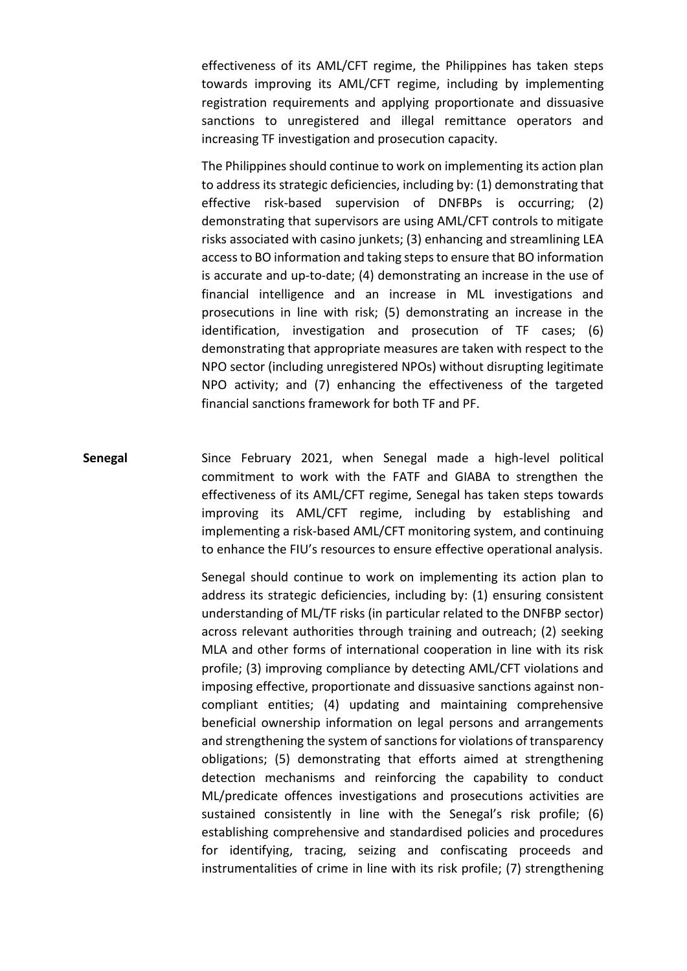effectiveness of its AML/CFT regime, the Philippines has taken steps towards improving its AML/CFT regime, including by implementing registration requirements and applying proportionate and dissuasive sanctions to unregistered and illegal remittance operators and increasing TF investigation and prosecution capacity.

The Philippines should continue to work on implementing its action plan to address its strategic deficiencies, including by: (1) demonstrating that effective risk-based supervision of DNFBPs is occurring; (2) demonstrating that supervisors are using AML/CFT controls to mitigate risks associated with casino junkets; (3) enhancing and streamlining LEA access to BO information and taking steps to ensure that BO information is accurate and up-to-date; (4) demonstrating an increase in the use of financial intelligence and an increase in ML investigations and prosecutions in line with risk; (5) demonstrating an increase in the identification, investigation and prosecution of TF cases; (6) demonstrating that appropriate measures are taken with respect to the NPO sector (including unregistered NPOs) without disrupting legitimate NPO activity; and (7) enhancing the effectiveness of the targeted financial sanctions framework for both TF and PF.

**Senegal** Since February 2021, when Senegal made a high-level political commitment to work with the FATF and GIABA to strengthen the effectiveness of its AML/CFT regime, Senegal has taken steps towards improving its AML/CFT regime, including by establishing and implementing a risk-based AML/CFT monitoring system, and continuing to enhance the FIU's resources to ensure effective operational analysis.

> Senegal should continue to work on implementing its action plan to address its strategic deficiencies, including by: (1) ensuring consistent understanding of ML/TF risks (in particular related to the DNFBP sector) across relevant authorities through training and outreach; (2) seeking MLA and other forms of international cooperation in line with its risk profile; (3) improving compliance by detecting AML/CFT violations and imposing effective, proportionate and dissuasive sanctions against noncompliant entities; (4) updating and maintaining comprehensive beneficial ownership information on legal persons and arrangements and strengthening the system of sanctions for violations of transparency obligations; (5) demonstrating that efforts aimed at strengthening detection mechanisms and reinforcing the capability to conduct ML/predicate offences investigations and prosecutions activities are sustained consistently in line with the Senegal's risk profile; (6) establishing comprehensive and standardised policies and procedures for identifying, tracing, seizing and confiscating proceeds and instrumentalities of crime in line with its risk profile; (7) strengthening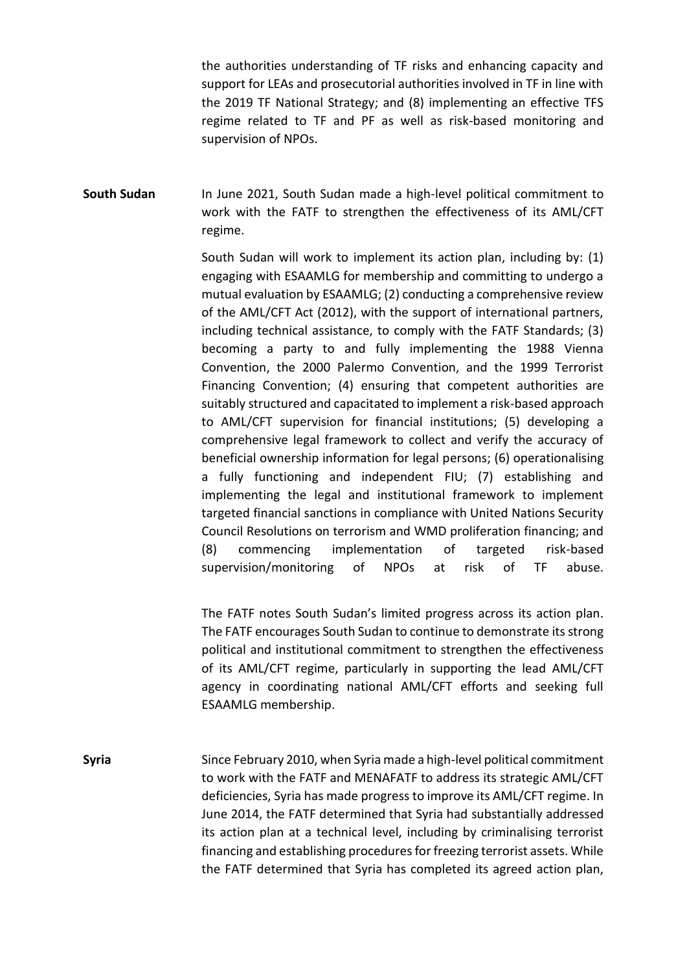the authorities understanding of TF risks and enhancing capacity and support for LEAs and prosecutorial authorities involved in TF in line with the 2019 TF National Strategy; and (8) implementing an effective TFS regime related to TF and PF as well as risk-based monitoring and supervision of NPOs.

**South Sudan** In June 2021, South Sudan made a high-level political commitment to work with the FATF to strengthen the effectiveness of its AML/CFT regime.

> South Sudan will work to implement its action plan, including by: (1) engaging with ESAAMLG for membership and committing to undergo a mutual evaluation by ESAAMLG; (2) conducting a comprehensive review of the AML/CFT Act (2012), with the support of international partners, including technical assistance, to comply with the FATF Standards; (3) becoming a party to and fully implementing the 1988 Vienna Convention, the 2000 Palermo Convention, and the 1999 Terrorist Financing Convention; (4) ensuring that competent authorities are suitably structured and capacitated to implement a risk-based approach to AML/CFT supervision for financial institutions; (5) developing a comprehensive legal framework to collect and verify the accuracy of beneficial ownership information for legal persons; (6) operationalising a fully functioning and independent FIU; (7) establishing and implementing the legal and institutional framework to implement targeted financial sanctions in compliance with United Nations Security Council Resolutions on terrorism and WMD proliferation financing; and (8) commencing implementation of targeted risk-based supervision/monitoring of NPOs at risk of TF abuse.

> The FATF notes South Sudan's limited progress across its action plan. The FATF encourages South Sudan to continue to demonstrate its strong political and institutional commitment to strengthen the effectiveness of its AML/CFT regime, particularly in supporting the lead AML/CFT agency in coordinating national AML/CFT efforts and seeking full ESAAMLG membership.

**Syria** Since February 2010, when Syria made a high-level political commitment to work with the FATF and MENAFATF to address its strategic AML/CFT deficiencies, Syria has made progress to improve its AML/CFT regime. In June 2014, the FATF determined that Syria had substantially addressed its action plan at a technical level, including by criminalising terrorist financing and establishing procedures for freezing terrorist assets. While the FATF determined that Syria has completed its agreed action plan,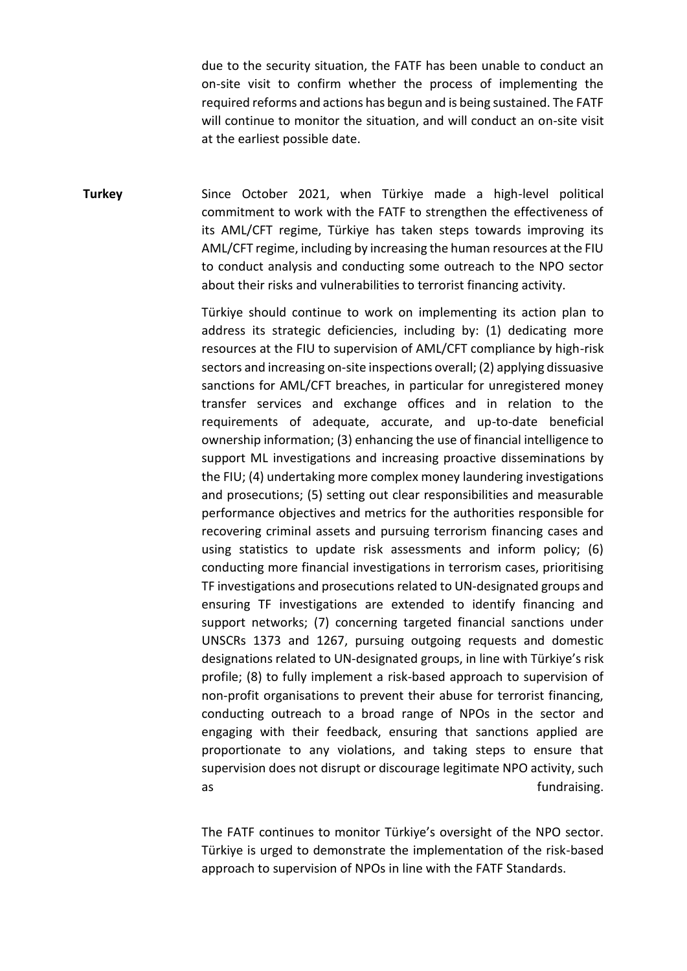due to the security situation, the FATF has been unable to conduct an on-site visit to confirm whether the process of implementing the required reforms and actions has begun and is being sustained. The FATF will continue to monitor the situation, and will conduct an on-site visit at the earliest possible date.

**Turkey** Since October 2021, when Türkiye made a high-level political commitment to work with the FATF to strengthen the effectiveness of its AML/CFT regime, Türkiye has taken steps towards improving its AML/CFT regime, including by increasing the human resources at the FIU to conduct analysis and conducting some outreach to the NPO sector about their risks and vulnerabilities to terrorist financing activity.

> Türkiye should continue to work on implementing its action plan to address its strategic deficiencies, including by: (1) dedicating more resources at the FIU to supervision of AML/CFT compliance by high-risk sectors and increasing on-site inspections overall; (2) applying dissuasive sanctions for AML/CFT breaches, in particular for unregistered money transfer services and exchange offices and in relation to the requirements of adequate, accurate, and up-to-date beneficial ownership information; (3) enhancing the use of financial intelligence to support ML investigations and increasing proactive disseminations by the FIU; (4) undertaking more complex money laundering investigations and prosecutions; (5) setting out clear responsibilities and measurable performance objectives and metrics for the authorities responsible for recovering criminal assets and pursuing terrorism financing cases and using statistics to update risk assessments and inform policy; (6) conducting more financial investigations in terrorism cases, prioritising TF investigations and prosecutions related to UN-designated groups and ensuring TF investigations are extended to identify financing and support networks; (7) concerning targeted financial sanctions under UNSCRs 1373 and 1267, pursuing outgoing requests and domestic designations related to UN-designated groups, in line with Türkiye's risk profile; (8) to fully implement a risk-based approach to supervision of non-profit organisations to prevent their abuse for terrorist financing, conducting outreach to a broad range of NPOs in the sector and engaging with their feedback, ensuring that sanctions applied are proportionate to any violations, and taking steps to ensure that supervision does not disrupt or discourage legitimate NPO activity, such as fundraising.

> The FATF continues to monitor Türkiye's oversight of the NPO sector. Türkiye is urged to demonstrate the implementation of the risk-based approach to supervision of NPOs in line with the FATF Standards.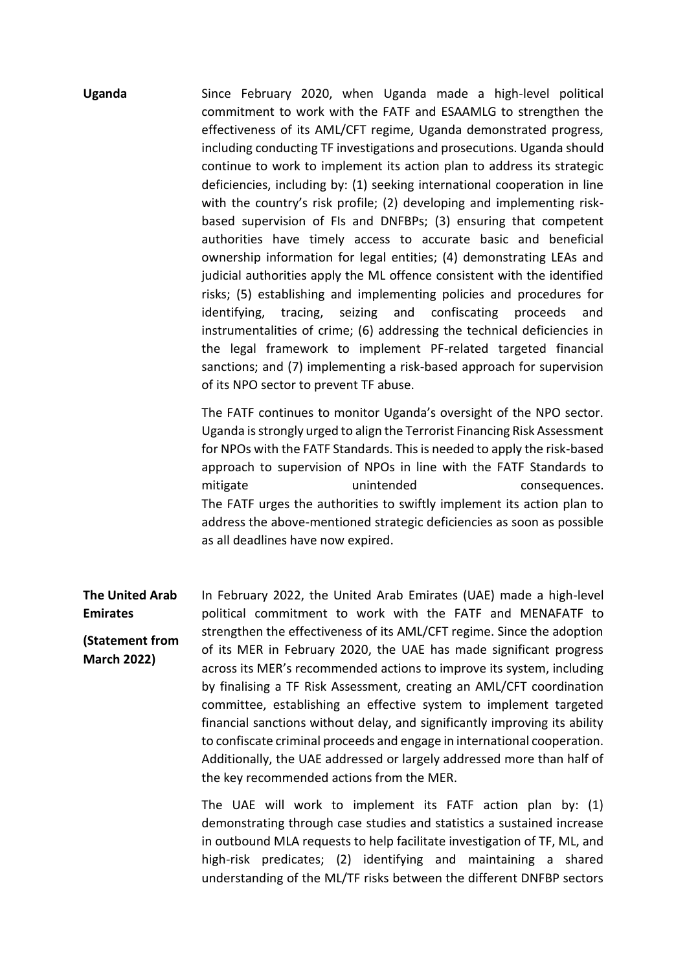**Uganda** Since February 2020, when Uganda made a high-level political commitment to work with the FATF and ESAAMLG to strengthen the effectiveness of its AML/CFT regime, Uganda demonstrated progress, including conducting TF investigations and prosecutions. Uganda should continue to work to implement its action plan to address its strategic deficiencies, including by: (1) seeking international cooperation in line with the country's risk profile; (2) developing and implementing riskbased supervision of FIs and DNFBPs; (3) ensuring that competent authorities have timely access to accurate basic and beneficial ownership information for legal entities; (4) demonstrating LEAs and judicial authorities apply the ML offence consistent with the identified risks; (5) establishing and implementing policies and procedures for identifying, tracing, seizing and confiscating proceeds and instrumentalities of crime; (6) addressing the technical deficiencies in the legal framework to implement PF-related targeted financial sanctions; and (7) implementing a risk-based approach for supervision of its NPO sector to prevent TF abuse.

> The FATF continues to monitor Uganda's oversight of the NPO sector. Uganda is strongly urged to align the Terrorist Financing Risk Assessment for NPOs with the FATF Standards. This is needed to apply the risk-based approach to supervision of NPOs in line with the FATF Standards to mitigate mitigate unintended consequences. The FATF urges the authorities to swiftly implement its action plan to address the above-mentioned strategic deficiencies as soon as possible as all deadlines have now expired.

**The United Arab Emirates (Statement from March 2022)** In February 2022, the United Arab Emirates (UAE) made a high-level political commitment to work with the FATF and MENAFATF to strengthen the effectiveness of its AML/CFT regime. Since the adoption of its MER in February 2020, the UAE has made significant progress across its MER's recommended actions to improve its system, including by finalising a TF Risk Assessment, creating an AML/CFT coordination committee, establishing an effective system to implement targeted financial sanctions without delay, and significantly improving its ability to confiscate criminal proceeds and engage in international cooperation. Additionally, the UAE addressed or largely addressed more than half of the key recommended actions from the MER.

> The UAE will work to implement its FATF action plan by: (1) demonstrating through case studies and statistics a sustained increase in outbound MLA requests to help facilitate investigation of TF, ML, and high-risk predicates; (2) identifying and maintaining a shared understanding of the ML/TF risks between the different DNFBP sectors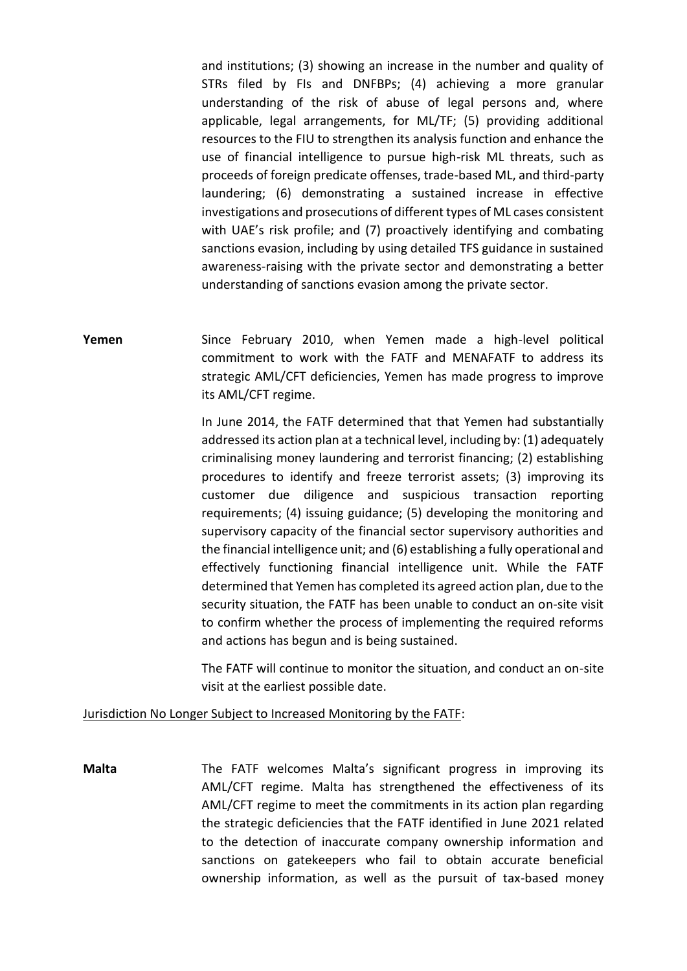and institutions; (3) showing an increase in the number and quality of STRs filed by FIs and DNFBPs; (4) achieving a more granular understanding of the risk of abuse of legal persons and, where applicable, legal arrangements, for ML/TF; (5) providing additional resources to the FIU to strengthen its analysis function and enhance the use of financial intelligence to pursue high-risk ML threats, such as proceeds of foreign predicate offenses, trade-based ML, and third-party laundering; (6) demonstrating a sustained increase in effective investigations and prosecutions of different types of ML cases consistent with UAE's risk profile; and (7) proactively identifying and combating sanctions evasion, including by using detailed TFS guidance in sustained awareness-raising with the private sector and demonstrating a better understanding of sanctions evasion among the private sector.

**Yemen** Since February 2010, when Yemen made a high-level political commitment to work with the FATF and MENAFATF to address its strategic AML/CFT deficiencies, Yemen has made progress to improve its AML/CFT regime.

> In June 2014, the FATF determined that that Yemen had substantially addressed its action plan at a technical level, including by: (1) adequately criminalising money laundering and terrorist financing; (2) establishing procedures to identify and freeze terrorist assets; (3) improving its customer due diligence and suspicious transaction reporting requirements; (4) issuing guidance; (5) developing the monitoring and supervisory capacity of the financial sector supervisory authorities and the financial intelligence unit; and (6) establishing a fully operational and effectively functioning financial intelligence unit. While the FATF determined that Yemen has completed its agreed action plan, due to the security situation, the FATF has been unable to conduct an on-site visit to confirm whether the process of implementing the required reforms and actions has begun and is being sustained.

> The FATF will continue to monitor the situation, and conduct an on-site visit at the earliest possible date.

Jurisdiction No Longer Subject to Increased Monitoring by the FATF:

**Malta** The FATF welcomes Malta's significant progress in improving its AML/CFT regime. Malta has strengthened the effectiveness of its AML/CFT regime to meet the commitments in its action plan regarding the strategic deficiencies that the FATF identified in June 2021 related to the detection of inaccurate company ownership information and sanctions on gatekeepers who fail to obtain accurate beneficial ownership information, as well as the pursuit of tax-based money